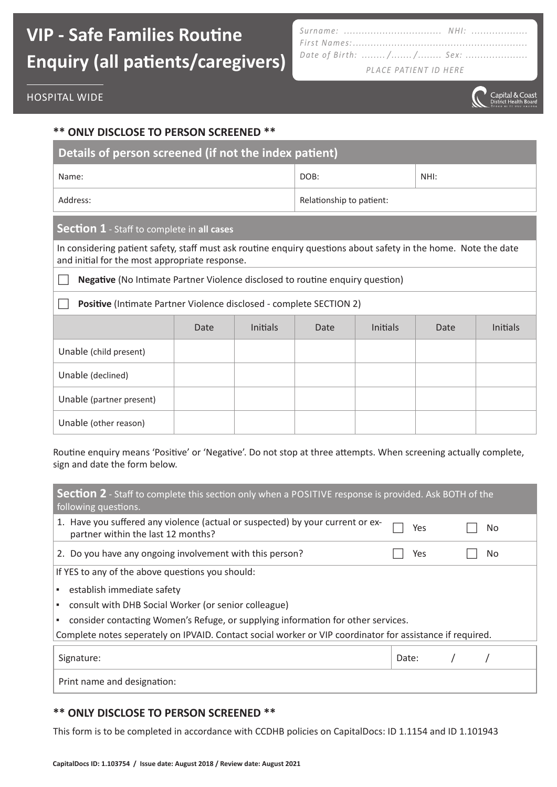### **VIP - Safe Families Routine Enquiry (all patients/caregivers)**

| Date of Birth: // Sex:                                                              |
|-------------------------------------------------------------------------------------|
| $\bigcap I$ $\bigcap I$ $\bigcap I$ $\bigcap I$ $\bigcap I$ $\bigcap I$ $\bigcap I$ |

*PLACE PATIENT ID HERE*



#### **\*\* ONLY DISCLOSE TO PERSON SCREENED \*\***

| Details of person screened (if not the index patient) |                          |      |  |  |  |  |
|-------------------------------------------------------|--------------------------|------|--|--|--|--|
| Name:                                                 | DOB:                     | NHI: |  |  |  |  |
| Address:                                              | Relationship to patient: |      |  |  |  |  |

#### **Section 1** - Staff to complete in **all cases**

In considering patient safety, staff must ask routine enquiry questions about safety in the home. Note the date and initial for the most appropriate response.

**Negative** (No Intimate Partner Violence disclosed to routine enquiry question)

Positive (Intimate Partner Violence disclosed - complete SECTION 2)

|                          | Date | Initials | Date | <b>Initials</b> | Date | Initials |
|--------------------------|------|----------|------|-----------------|------|----------|
| Unable (child present)   |      |          |      |                 |      |          |
| Unable (declined)        |      |          |      |                 |      |          |
| Unable (partner present) |      |          |      |                 |      |          |
| Unable (other reason)    |      |          |      |                 |      |          |

Routine enquiry means 'Positive' or 'Negative'. Do not stop at three attempts. When screening actually complete, sign and date the form below.

| <b>Section 2</b> - Staff to complete this section only when a POSITIVE response is provided. Ask BOTH of the<br>following questions. |       |     |  |     |  |  |  |
|--------------------------------------------------------------------------------------------------------------------------------------|-------|-----|--|-----|--|--|--|
| 1. Have you suffered any violence (actual or suspected) by your current or ex-<br>partner within the last 12 months?                 |       | Yes |  | No  |  |  |  |
| 2. Do you have any ongoing involvement with this person?                                                                             |       | Yes |  | No. |  |  |  |
| If YES to any of the above questions you should:                                                                                     |       |     |  |     |  |  |  |
| establish immediate safety<br>$\mathbf{r}$                                                                                           |       |     |  |     |  |  |  |
| consult with DHB Social Worker (or senior colleague)                                                                                 |       |     |  |     |  |  |  |
| consider contacting Women's Refuge, or supplying information for other services.                                                     |       |     |  |     |  |  |  |
| Complete notes seperately on IPVAID. Contact social worker or VIP coordinator for assistance if required.                            |       |     |  |     |  |  |  |
| Signature:                                                                                                                           | Date: |     |  |     |  |  |  |
| Print name and designation:                                                                                                          |       |     |  |     |  |  |  |

### **\*\* ONLY DISCLOSE TO PERSON SCREENED \*\***

This form is to be completed in accordance with CCDHB policies on CapitalDocs: ID 1.1154 and ID 1.101943